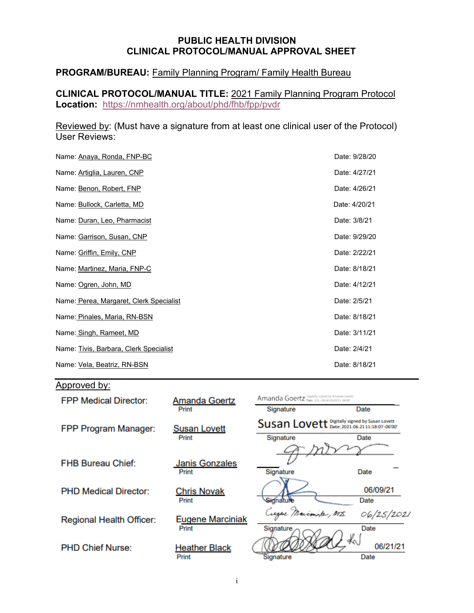### **PUBLIC HEALTH DIVISION CLINICAL PROTOCOL/MANUAL APPROVAL SHEET**

## **PROGRAM/BUREAU:** Family Planning Program/ Family Health Bureau

**CLINICAL PROTOCOL/MANUAL TITLE:** 2021 Family Planning Program Protocol **Location:** <https://nmhealth.org/about/phd/fhb/fpp/pvdr>

Reviewed by: (Must have a signature from at least one clinical user of the Protocol) User Reviews:

| Name: Anaya, Ronda, FNP-BC              | Date: 9/28/20 |
|-----------------------------------------|---------------|
| Name: Artiglia, Lauren, CNP             | Date: 4/27/21 |
| Name: Benon, Robert, FNP                | Date: 4/26/21 |
| Name: <b>Bullock, Carletta, MD</b>      | Date: 4/20/21 |
| Name: Duran, Leo, Pharmacist            | Date: 3/8/21  |
| Name: Garrison, Susan, CNP              | Date: 9/29/20 |
| Name: Griffin, Emily, CNP               | Date: 2/22/21 |
| Name: Martinez, Maria, FNP-C            | Date: 8/18/21 |
| Name: Ogren, John, MD                   | Date: 4/12/21 |
| Name: Perea, Margaret, Clerk Specialist | Date: 2/5/21  |
| Name: Pinales, Maria, RN-BSN            | Date: 8/18/21 |
| Name: Singh, Rameet, MD                 | Date: 3/11/21 |
| Name: Tivis, Barbara, Clerk Specialist  | Date: 2/4/21  |
| Name: Vela, Beatriz, RN-BSN             | Date: 8/18/21 |

# Approved by:

| <b>FPP Medical Director:</b> | <b>Amanda Goertz</b>           | Amanda Goertz Digitally signed by Amarda Goertz |                  |
|------------------------------|--------------------------------|-------------------------------------------------|------------------|
|                              | Print                          | Signature                                       | Date             |
| FPP Program Manager:         | <b>Susan Lovett</b>            | Susan Lovett Digitally signed by Susan Lovett   |                  |
|                              | Print                          | Signature                                       | Date             |
|                              |                                |                                                 |                  |
| <b>FHB Bureau Chief:</b>     | <b>Janis Gonzales</b><br>Print | Signature                                       | Date             |
| <b>PHD Medical Director:</b> | <b>Chris Novak</b><br>Print    | Signature                                       | 06/09/21<br>Date |
| Regional Health Officer:     | <b>Eugene Marciniak</b>        | Eugene Marimite, MIS.                           | 06/25/2021       |
|                              | Print                          | Signature                                       | Date<br>Ł,       |
| <b>PHD Chief Nurse:</b>      | <b>Heather Black</b><br>Print  | Signature                                       | 06/21/21<br>Date |